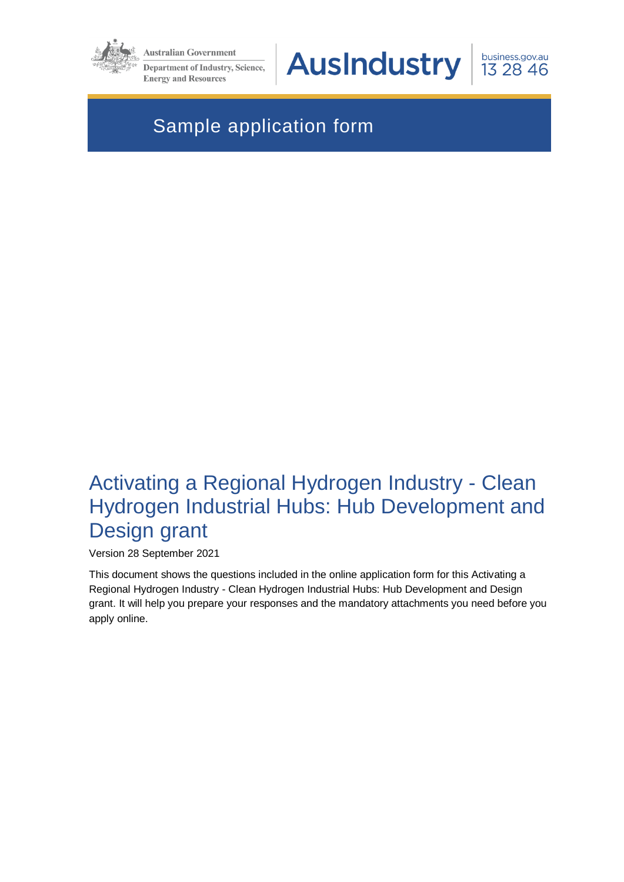

**Australian Government Department of Industry, Science,** 

**Energy and Resources** 

**AusIndustry** 

business.gov.au 13 28 46

# Sample application form

# Activating a Regional Hydrogen Industry - Clean Hydrogen Industrial Hubs: Hub Development and Design grant

Version 28 September 2021

This document shows the questions included in the online application form for this Activating a Regional Hydrogen Industry - Clean Hydrogen Industrial Hubs: Hub Development and Design grant. It will help you prepare your responses and the mandatory attachments you need before you apply online.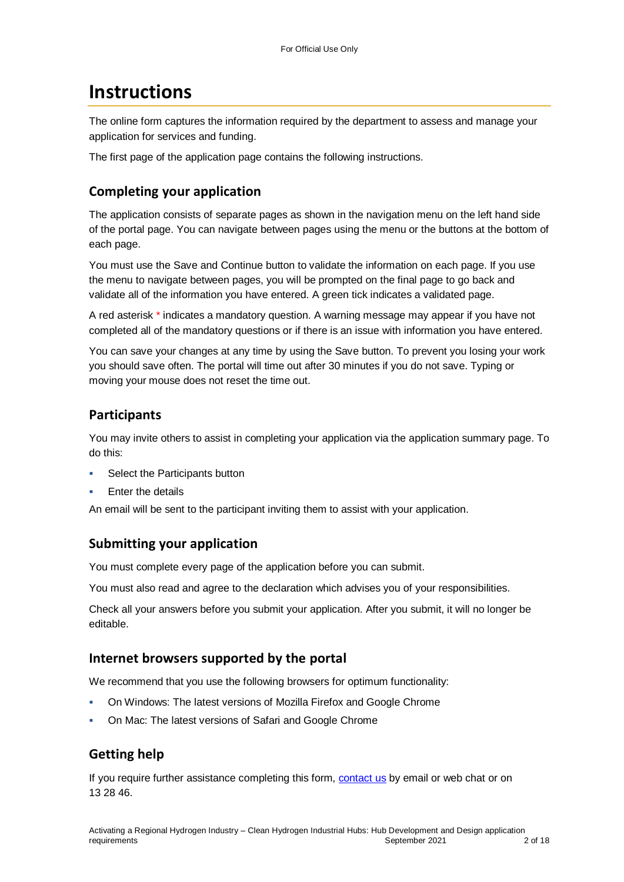# **Instructions**

The online form captures the information required by the department to assess and manage your application for services and funding.

The first page of the application page contains the following instructions.

## **Completing your application**

The application consists of separate pages as shown in the navigation menu on the left hand side of the portal page. You can navigate between pages using the menu or the buttons at the bottom of each page.

You must use the Save and Continue button to validate the information on each page. If you use the menu to navigate between pages, you will be prompted on the final page to go back and validate all of the information you have entered. A green tick indicates a validated page.

A red asterisk \* indicates a mandatory question. A warning message may appear if you have not completed all of the mandatory questions or if there is an issue with information you have entered.

You can save your changes at any time by using the Save button. To prevent you losing your work you should save often. The portal will time out after 30 minutes if you do not save. Typing or moving your mouse does not reset the time out.

## **Participants**

You may invite others to assist in completing your application via the application summary page. To do this:

- Select the Participants button
- Enter the details

An email will be sent to the participant inviting them to assist with your application.

## **Submitting your application**

You must complete every page of the application before you can submit.

You must also read and agree to the declaration which advises you of your responsibilities.

Check all your answers before you submit your application. After you submit, it will no longer be editable.

### **Internet browsers supported by the portal**

We recommend that you use the following browsers for optimum functionality:

- On Windows: The latest versions of Mozilla Firefox and Google Chrome
- On Mac: The latest versions of Safari and Google Chrome

## **Getting help**

If you require further assistance completing this form, [contact us](https://www.business.gov.au/contact-us) by email or web chat or on 13 28 46.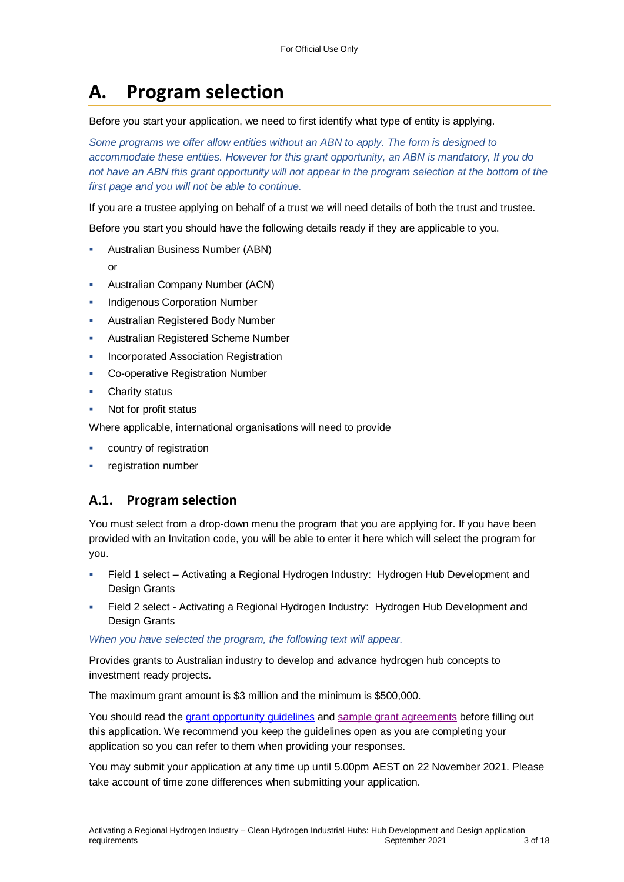# **A. Program selection**

Before you start your application, we need to first identify what type of entity is applying.

*Some programs we offer allow entities without an ABN to apply. The form is designed to accommodate these entities. However for this grant opportunity, an ABN is mandatory, If you do*  not have an ABN this grant opportunity will not appear in the program selection at the bottom of the *first page and you will not be able to continue.*

If you are a trustee applying on behalf of a trust we will need details of both the trust and trustee.

Before you start you should have the following details ready if they are applicable to you.

- Australian Business Number (ABN)
	- or
- Australian Company Number (ACN)
- Indigenous Corporation Number
- Australian Registered Body Number
- Australian Registered Scheme Number
- Incorporated Association Registration
- Co-operative Registration Number
- Charity status
- Not for profit status

Where applicable, international organisations will need to provide

- country of registration
- registration number

## **A.1. Program selection**

You must select from a drop-down menu the program that you are applying for. If you have been provided with an Invitation code, you will be able to enter it here which will select the program for you.

- Field 1 select Activating a Regional Hydrogen Industry: Hydrogen Hub Development and Design Grants
- Field 2 select Activating a Regional Hydrogen Industry: Hydrogen Hub Development and Design Grants

*When you have selected the program, the following text will appear.*

Provides grants to Australian industry to develop and advance hydrogen hub concepts to investment ready projects.

The maximum grant amount is \$3 million and the minimum is \$500,000.

You should read the [grant opportunity guidelines](https://business.gov.au/grants-and-programs/hydrogen-hubs-development-grants#key-documents) and [sample grant agreements](https://business.gov.au/grants-and-programs/hydrogen-hubs-development-grants#key-documents) before filling out this application. We recommend you keep the guidelines open as you are completing your application so you can refer to them when providing your responses.

You may submit your application at any time up until 5.00pm AEST on 22 November 2021. Please take account of time zone differences when submitting your application.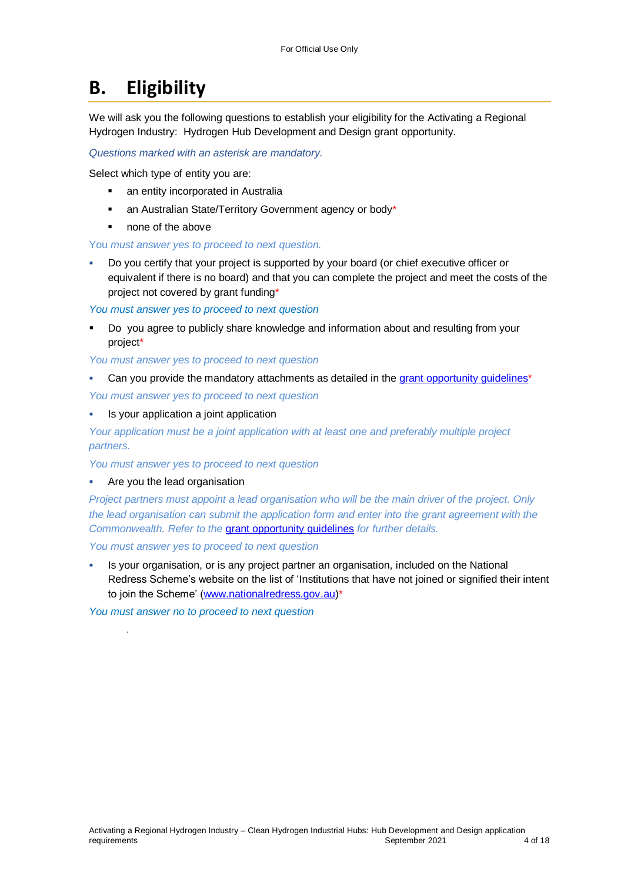# **B. Eligibility**

We will ask you the following questions to establish your eligibility for the Activating a Regional Hydrogen Industry: Hydrogen Hub Development and Design grant opportunity.

*Questions marked with an asterisk are mandatory.* 

Select which type of entity you are:

- an entity incorporated in Australia
- an Australian State/Territory Government agency or body\*
- none of the above

You *must answer yes to proceed to next question.*

 Do you certify that your project is supported by your board (or chief executive officer or equivalent if there is no board) and that you can complete the project and meet the costs of the project not covered by grant funding\*

*You must answer yes to proceed to next question*

 Do you agree to publicly share knowledge and information about and resulting from your project\*

*You must answer yes to proceed to next question*

- Can you provide the mandatory attachments as detailed in the grant opportunity guidelines<sup>\*</sup> *You must answer yes to proceed to next question*
- Is your application a joint application

*Your application must be a joint application with at least one and preferably multiple project partners.* 

*You must answer yes to proceed to next question*

Are you the lead organisation

*.*

*Project partners must appoint a lead organisation who will be the main driver of the project. Only the lead organisation can submit the application form and enter into the grant agreement with the Commonwealth. Refer to the* [grant opportunity guidelines](https://business.gov.au/grants-and-programs/hydrogen-hubs-development-grants#key-documents) *for further details.*

*You must answer yes to proceed to next question*

 Is your organisation, or is any project partner an organisation, included on the National Redress Scheme's website on the list of 'Institutions that have not joined or signified their intent to join the Scheme' [\(www.nationalredress.gov.au\)](http://www.nationalredress.gov.au/)\*

*You must answer no to proceed to next question*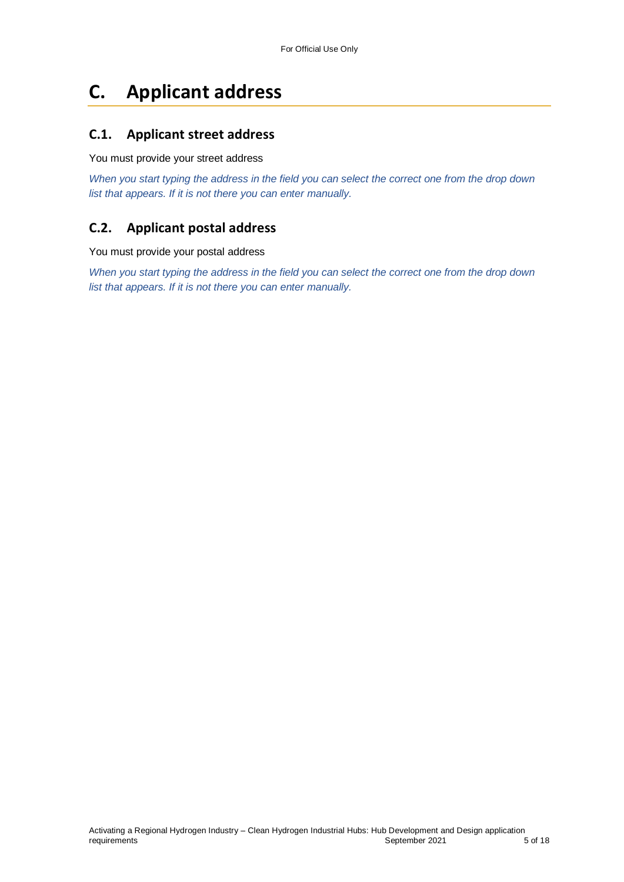# **C. Applicant address**

## **C.1. Applicant street address**

You must provide your street address

*When you start typing the address in the field you can select the correct one from the drop down list that appears. If it is not there you can enter manually.*

## **C.2. Applicant postal address**

You must provide your postal address

*When you start typing the address in the field you can select the correct one from the drop down list that appears. If it is not there you can enter manually.*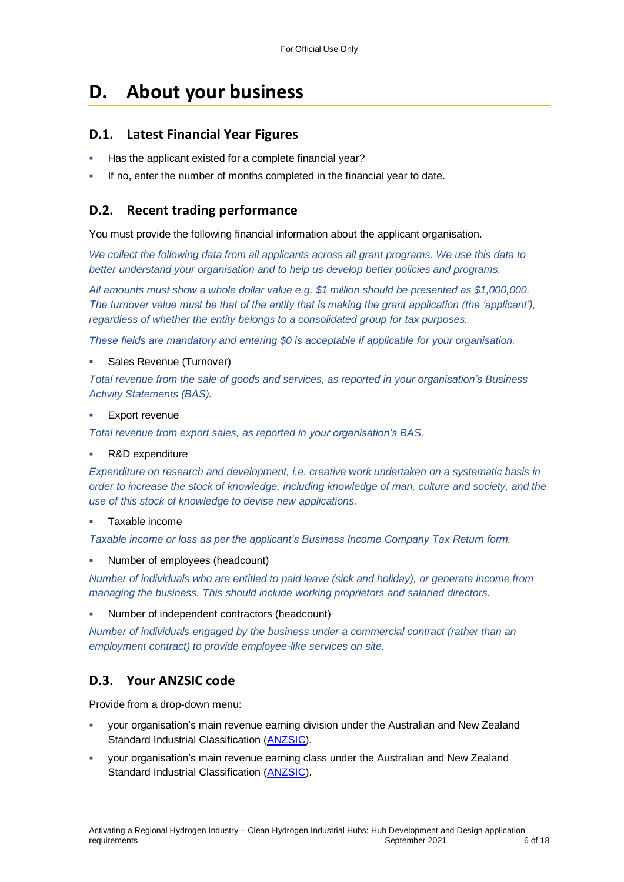# **D. About your business**

#### **D.1. Latest Financial Year Figures**

- Has the applicant existed for a complete financial year?
- If no, enter the number of months completed in the financial year to date.

#### **D.2. Recent trading performance**

You must provide the following financial information about the applicant organisation.

*We collect the following data from all applicants across all grant programs. We use this data to better understand your organisation and to help us develop better policies and programs.*

*All amounts must show a whole dollar value e.g. \$1 million should be presented as \$1,000,000. The turnover value must be that of the entity that is making the grant application (the 'applicant'), regardless of whether the entity belongs to a consolidated group for tax purposes.*

*These fields are mandatory and entering \$0 is acceptable if applicable for your organisation.*

Sales Revenue (Turnover)

*Total revenue from the sale of goods and services, as reported in your organisation's Business Activity Statements (BAS).*

Export revenue

*Total revenue from export sales, as reported in your organisation's BAS.*

R&D expenditure

*Expenditure on research and development, i.e. creative work undertaken on a systematic basis in order to increase the stock of knowledge, including knowledge of man, culture and society, and the use of this stock of knowledge to devise new applications.*

#### Taxable income

*Taxable income or loss as per the applicant's Business Income Company Tax Return form.*

Number of employees (headcount)

*Number of individuals who are entitled to paid leave (sick and holiday), or generate income from managing the business. This should include working proprietors and salaried directors.*

Number of independent contractors (headcount)

*Number of individuals engaged by the business under a commercial contract (rather than an employment contract) to provide employee-like services on site.*

#### **D.3. Your ANZSIC code**

Provide from a drop-down menu:

- your organisation's main revenue earning division under the Australian and New Zealand Standard Industrial Classification [\(ANZSIC\)](https://www.abs.gov.au/ausstats/abs@.nsf/0/20C5B5A4F46DF95BCA25711F00146D75?opendocument).
- your organisation's main revenue earning class under the Australian and New Zealand Standard Industrial Classification [\(ANZSIC\)](https://www.abs.gov.au/ausstats/abs@.nsf/0/20C5B5A4F46DF95BCA25711F00146D75?opendocument).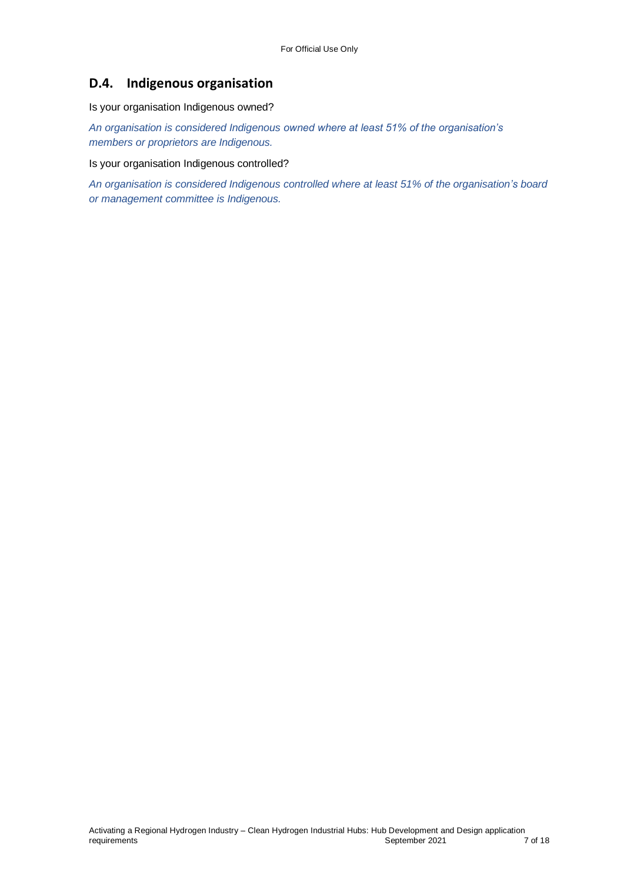## **D.4. Indigenous organisation**

Is your organisation Indigenous owned?

*An organisation is considered Indigenous owned where at least 51% of the organisation's members or proprietors are Indigenous.*

Is your organisation Indigenous controlled?

*An organisation is considered Indigenous controlled where at least 51% of the organisation's board or management committee is Indigenous.*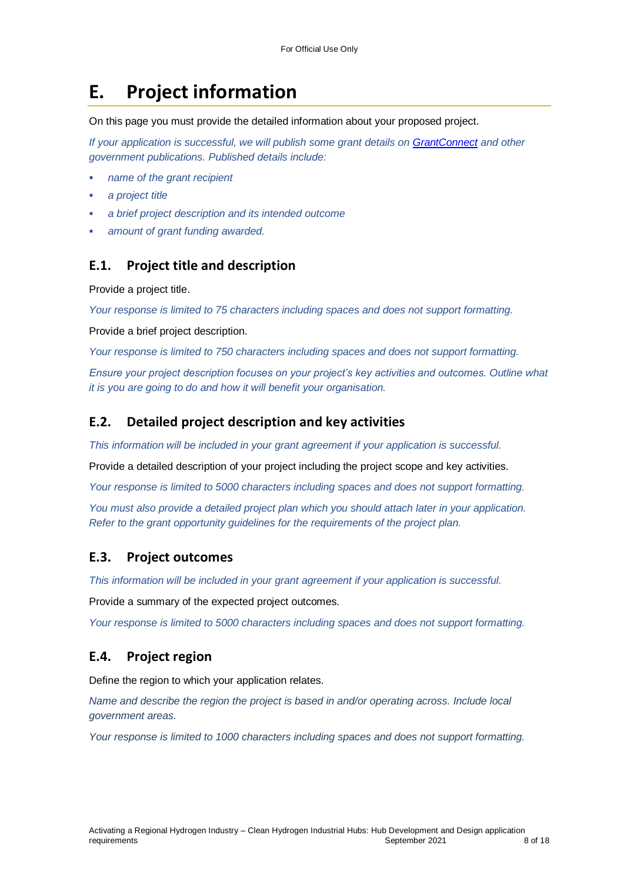# **E. Project information**

On this page you must provide the detailed information about your proposed project.

*If your application is successful, we will publish some grant details on [GrantConnect](http://www.grants.gov.au/) and other government publications. Published details include:*

- *name of the grant recipient*
- *a project title*
- *a brief project description and its intended outcome*
- *amount of grant funding awarded.*

#### **E.1. Project title and description**

Provide a project title.

*Your response is limited to 75 characters including spaces and does not support formatting.* 

Provide a brief project description.

*Your response is limited to 750 characters including spaces and does not support formatting.* 

*Ensure your project description focuses on your project's key activities and outcomes. Outline what it is you are going to do and how it will benefit your organisation.*

#### **E.2. Detailed project description and key activities**

*This information will be included in your grant agreement if your application is successful.*

Provide a detailed description of your project including the project scope and key activities.

*Your response is limited to 5000 characters including spaces and does not support formatting.* 

*You must also provide a detailed project plan which you should attach later in your application. Refer to the grant opportunity guidelines for the requirements of the project plan.*

#### **E.3. Project outcomes**

*This information will be included in your grant agreement if your application is successful.*

Provide a summary of the expected project outcomes.

*Your response is limited to 5000 characters including spaces and does not support formatting.*

### **E.4. Project region**

Define the region to which your application relates.

*Name and describe the region the project is based in and/or operating across. Include local government areas.*

*Your response is limited to 1000 characters including spaces and does not support formatting.*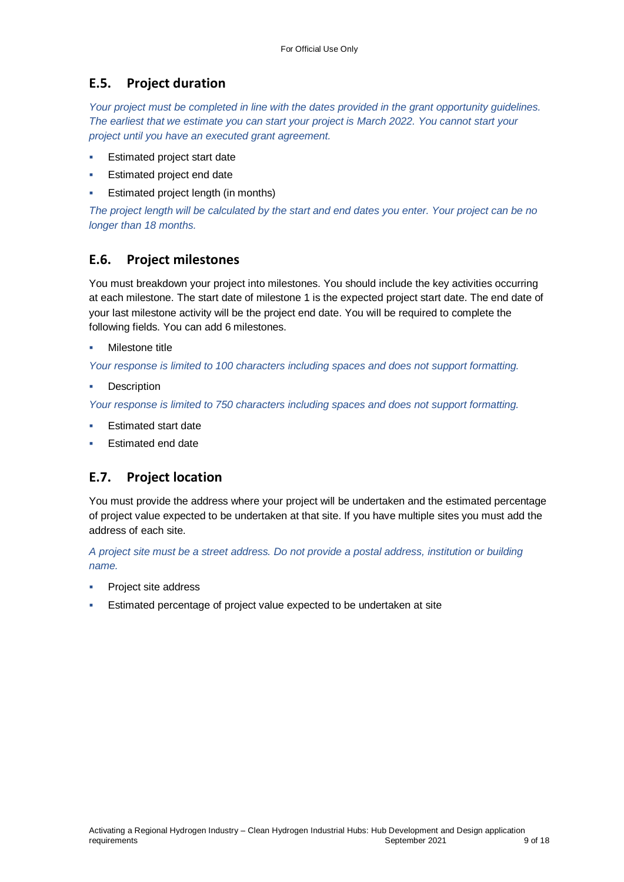### **E.5. Project duration**

*Your project must be completed in line with the dates provided in the grant opportunity guidelines. The earliest that we estimate you can start your project is March 2022. You cannot start your project until you have an executed grant agreement.*

- Estimated project start date
- Estimated project end date
- Estimated project length (in months)

*The project length will be calculated by the start and end dates you enter. Your project can be no longer than 18 months.* 

### **E.6. Project milestones**

You must breakdown your project into milestones. You should include the key activities occurring at each milestone. The start date of milestone 1 is the expected project start date. The end date of your last milestone activity will be the project end date. You will be required to complete the following fields. You can add 6 milestones.

#### Milestone title

*Your response is limited to 100 characters including spaces and does not support formatting.*

**Description** 

*Your response is limited to 750 characters including spaces and does not support formatting.*

- Estimated start date
- Estimated end date

### **E.7. Project location**

You must provide the address where your project will be undertaken and the estimated percentage of project value expected to be undertaken at that site. If you have multiple sites you must add the address of each site.

*A project site must be a street address. Do not provide a postal address, institution or building name.* 

- Project site address
- Estimated percentage of project value expected to be undertaken at site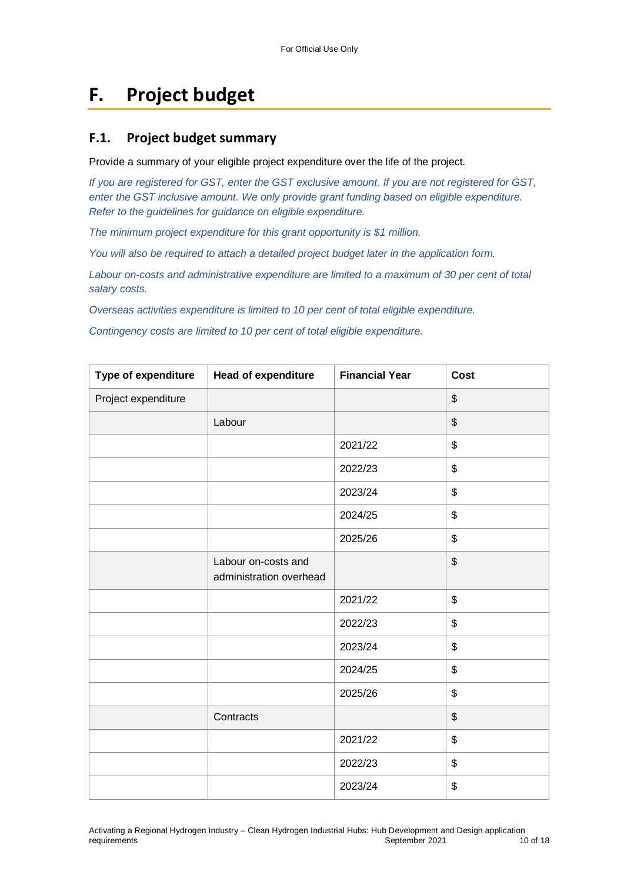# **F. Project budget**

### **F.1. Project budget summary**

Provide a summary of your eligible project expenditure over the life of the project.

*If you are registered for GST, enter the GST exclusive amount. If you are not registered for GST, enter the GST inclusive amount. We only provide grant funding based on eligible expenditure. Refer to the guidelines for guidance on eligible expenditure.*

*The minimum project expenditure for this grant opportunity is \$1 million.*

*You will also be required to attach a detailed project budget later in the application form.*

*Labour on-costs and administrative expenditure are limited to a maximum of 30 per cent of total salary costs.*

*Overseas activities expenditure is limited to 10 per cent of total eligible expenditure.*

*Contingency costs are limited to 10 per cent of total eligible expenditure.*

| Type of expenditure | <b>Head of expenditure</b>                     | <b>Financial Year</b> | <b>Cost</b>               |
|---------------------|------------------------------------------------|-----------------------|---------------------------|
| Project expenditure |                                                |                       | $\boldsymbol{\mathsf{S}}$ |
|                     | Labour                                         |                       | $\boldsymbol{\mathsf{S}}$ |
|                     |                                                | 2021/22               | $\boldsymbol{\mathsf{S}}$ |
|                     |                                                | 2022/23               | $\$\$                     |
|                     |                                                | 2023/24               | $\boldsymbol{\mathsf{S}}$ |
|                     |                                                | 2024/25               | $\$\$                     |
|                     |                                                | 2025/26               | $\frac{1}{2}$             |
|                     | Labour on-costs and<br>administration overhead |                       | $\boldsymbol{\mathsf{S}}$ |
|                     |                                                | 2021/22               | $\$\$                     |
|                     |                                                | 2022/23               | \$                        |
|                     |                                                | 2023/24               | \$                        |
|                     |                                                | 2024/25               | \$                        |
|                     |                                                | 2025/26               | \$                        |
|                     | Contracts                                      |                       | $\$\$                     |
|                     |                                                | 2021/22               | \$                        |
|                     |                                                | 2022/23               | \$                        |
|                     |                                                | 2023/24               | \$                        |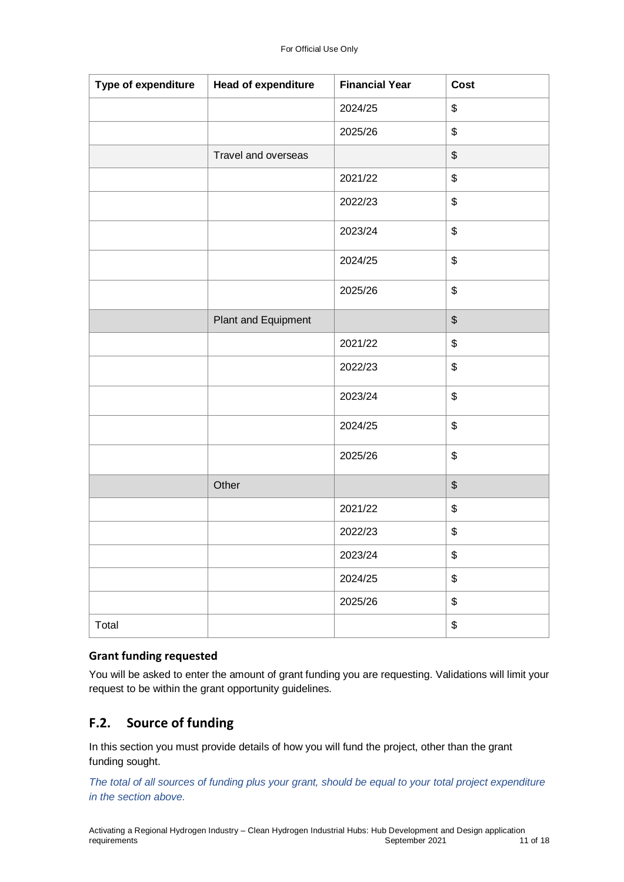| Type of expenditure | <b>Head of expenditure</b> | <b>Financial Year</b> | Cost                                      |
|---------------------|----------------------------|-----------------------|-------------------------------------------|
|                     |                            | 2024/25               | \$                                        |
|                     |                            | 2025/26               | \$                                        |
|                     | Travel and overseas        |                       | \$                                        |
|                     |                            | 2021/22               | \$                                        |
|                     |                            | 2022/23               | \$                                        |
|                     |                            | 2023/24               | \$                                        |
|                     |                            | 2024/25               | $\, \, \raisebox{12pt}{$\scriptstyle \$}$ |
|                     |                            | 2025/26               | \$                                        |
|                     | Plant and Equipment        |                       | $$\mathfrak{F}$$                          |
|                     |                            | 2021/22               | \$                                        |
|                     |                            | 2022/23               | \$                                        |
|                     |                            | 2023/24               | \$                                        |
|                     |                            | 2024/25               | \$                                        |
|                     |                            | 2025/26               | \$                                        |
|                     | Other                      |                       | $$\mathbb{S}$$                            |
|                     |                            | 2021/22               | \$                                        |
|                     |                            | 2022/23               | \$                                        |
|                     |                            | 2023/24               | \$                                        |
|                     |                            | 2024/25               | \$                                        |
|                     |                            | 2025/26               | \$                                        |
| Total               |                            |                       | \$                                        |

#### **Grant funding requested**

You will be asked to enter the amount of grant funding you are requesting. Validations will limit your request to be within the grant opportunity guidelines.

## **F.2. Source of funding**

In this section you must provide details of how you will fund the project, other than the grant funding sought.

*The total of all sources of funding plus your grant, should be equal to your total project expenditure in the section above.*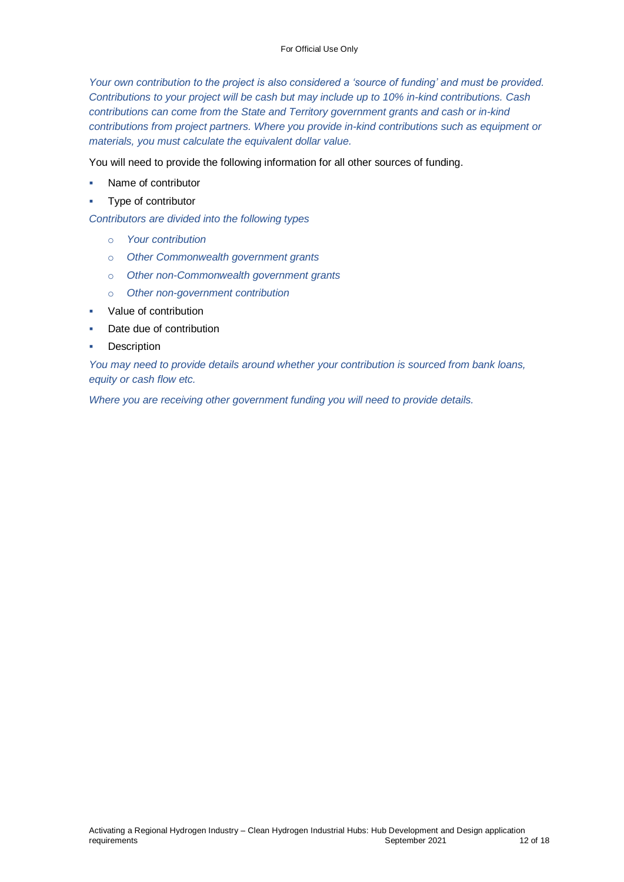*Your own contribution to the project is also considered a 'source of funding' and must be provided. Contributions to your project will be cash but may include up to 10% in-kind contributions. Cash contributions can come from the State and Territory government grants and cash or in-kind contributions from project partners. Where you provide in-kind contributions such as equipment or materials, you must calculate the equivalent dollar value.*

You will need to provide the following information for all other sources of funding.

- Name of contributor
- Type of contributor

*Contributors are divided into the following types*

- o *Your contribution*
- o *Other Commonwealth government grants*
- o *Other non-Commonwealth government grants*
- o *Other non-government contribution*
- Value of contribution
- Date due of contribution
- Description

*You may need to provide details around whether your contribution is sourced from bank loans, equity or cash flow etc.* 

*Where you are receiving other government funding you will need to provide details.*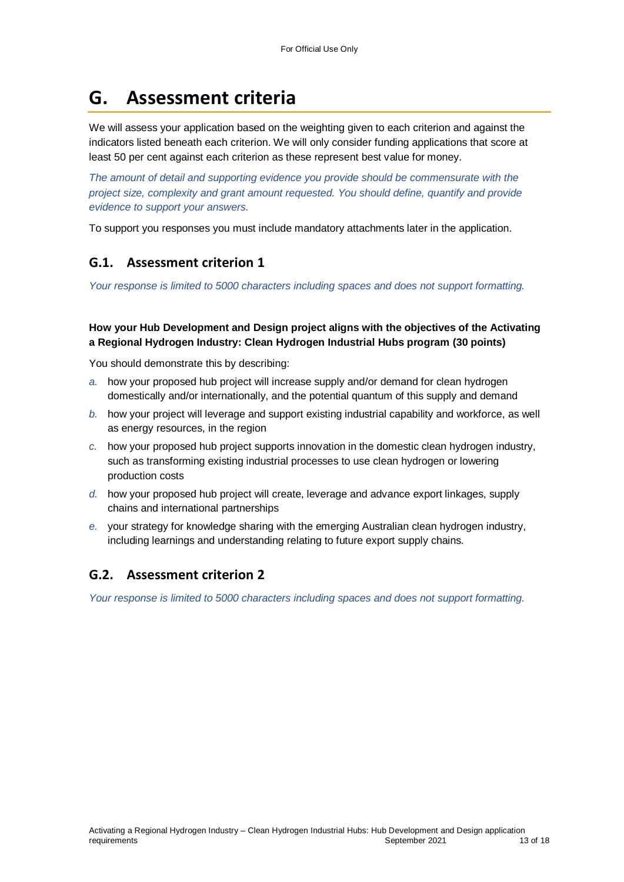# **G. Assessment criteria**

We will assess your application based on the weighting given to each criterion and against the indicators listed beneath each criterion. We will only consider funding applications that score at least 50 per cent against each criterion as these represent best value for money.

*The amount of detail and supporting evidence you provide should be commensurate with the project size, complexity and grant amount requested. You should define, quantify and provide evidence to support your answers.*

To support you responses you must include mandatory attachments later in the application.

### **G.1. Assessment criterion 1**

*Your response is limited to 5000 characters including spaces and does not support formatting.* 

**How your Hub Development and Design project aligns with the objectives of the Activating a Regional Hydrogen Industry: Clean Hydrogen Industrial Hubs program (30 points)**

You should demonstrate this by describing:

- *a.* how your proposed hub project will increase supply and/or demand for clean hydrogen domestically and/or internationally, and the potential quantum of this supply and demand
- *b.* how your project will leverage and support existing industrial capability and workforce, as well as energy resources, in the region
- *c.* how your proposed hub project supports innovation in the domestic clean hydrogen industry, such as transforming existing industrial processes to use clean hydrogen or lowering production costs
- *d.* how your proposed hub project will create, leverage and advance export linkages, supply chains and international partnerships
- *e.* your strategy for knowledge sharing with the emerging Australian clean hydrogen industry, including learnings and understanding relating to future export supply chains.

## **G.2. Assessment criterion 2**

*Your response is limited to 5000 characters including spaces and does not support formatting.*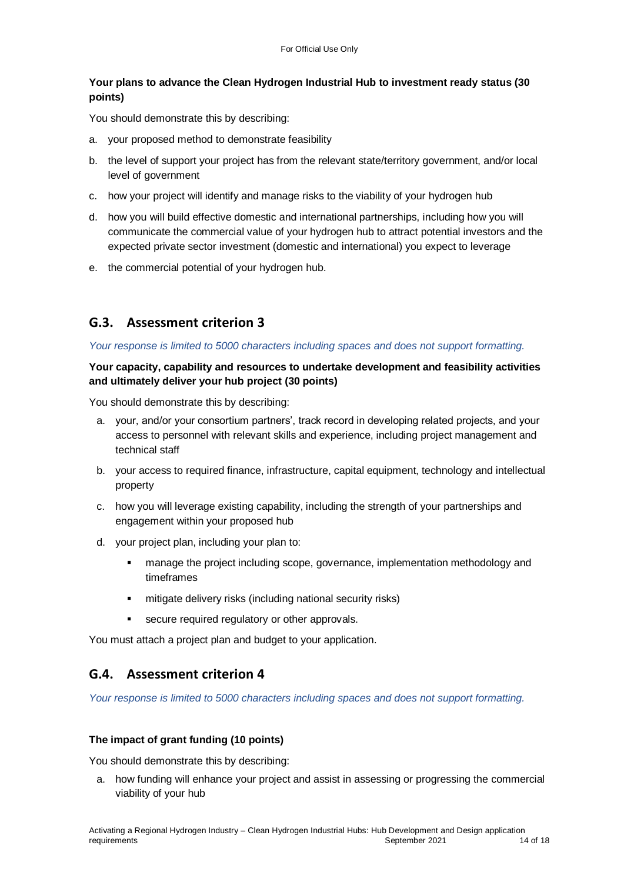#### **Your plans to advance the Clean Hydrogen Industrial Hub to investment ready status (30 points)**

You should demonstrate this by describing:

- a. your proposed method to demonstrate feasibility
- b. the level of support your project has from the relevant state/territory government, and/or local level of government
- c. how your project will identify and manage risks to the viability of your hydrogen hub
- d. how you will build effective domestic and international partnerships, including how you will communicate the commercial value of your hydrogen hub to attract potential investors and the expected private sector investment (domestic and international) you expect to leverage
- e. the commercial potential of your hydrogen hub.

## **G.3. Assessment criterion 3**

#### *Your response is limited to 5000 characters including spaces and does not support formatting.*

#### **Your capacity, capability and resources to undertake development and feasibility activities and ultimately deliver your hub project (30 points)**

You should demonstrate this by describing:

- a. your, and/or your consortium partners', track record in developing related projects, and your access to personnel with relevant skills and experience, including project management and technical staff
- b. your access to required finance, infrastructure, capital equipment, technology and intellectual property
- c. how you will leverage existing capability, including the strength of your partnerships and engagement within your proposed hub
- d. your project plan, including your plan to:
	- manage the project including scope, governance, implementation methodology and timeframes
	- mitigate delivery risks (including national security risks)
	- **secure required regulatory or other approvals.**

You must attach a project plan and budget to your application.

## **G.4. Assessment criterion 4**

*Your response is limited to 5000 characters including spaces and does not support formatting.* 

#### **The impact of grant funding (10 points)**

You should demonstrate this by describing:

a. how funding will enhance your project and assist in assessing or progressing the commercial viability of your hub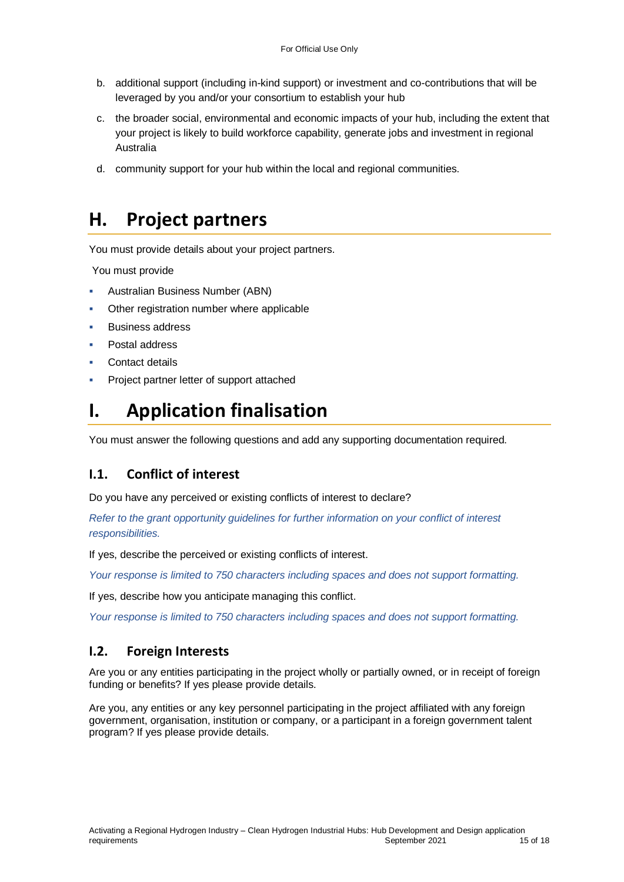- b. additional support (including in-kind support) or investment and co-contributions that will be leveraged by you and/or your consortium to establish your hub
- c. the broader social, environmental and economic impacts of your hub, including the extent that your project is likely to build workforce capability, generate jobs and investment in regional Australia
- d. community support for your hub within the local and regional communities.

# **H. Project partners**

You must provide details about your project partners.

You must provide

- Australian Business Number (ABN)
- Other registration number where applicable
- Business address
- Postal address
- Contact details
- Project partner letter of support attached

# **I. Application finalisation**

You must answer the following questions and add any supporting documentation required.

## **I.1. Conflict of interest**

Do you have any perceived or existing conflicts of interest to declare?

*Refer to the grant opportunity guidelines for further information on your conflict of interest responsibilities.*

If yes, describe the perceived or existing conflicts of interest.

*Your response is limited to 750 characters including spaces and does not support formatting.*

If yes, describe how you anticipate managing this conflict.

*Your response is limited to 750 characters including spaces and does not support formatting.*

### **I.2. Foreign Interests**

Are you or any entities participating in the project wholly or partially owned, or in receipt of foreign funding or benefits? If yes please provide details.

Are you, any entities or any key personnel participating in the project affiliated with any foreign government, organisation, institution or company, or a participant in a foreign government talent program? If yes please provide details.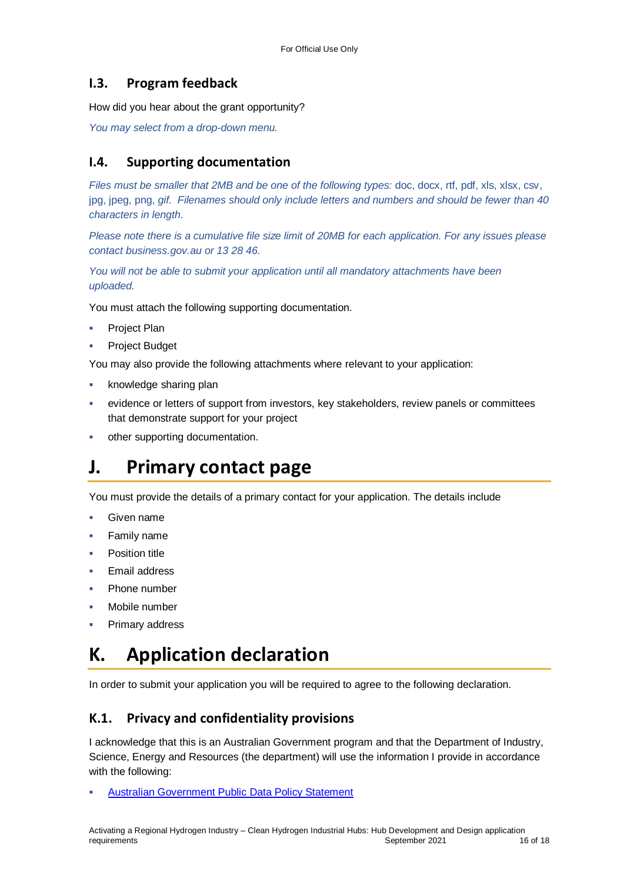### **I.3. Program feedback**

How did you hear about the grant opportunity?

*You may select from a drop-down menu.* 

### **I.4. Supporting documentation**

Files must be smaller that 2MB and be one of the following types: doc, docx, rtf, pdf, xls, xlsx, csv, jpg, jpeg, png, *gif. Filenames should only include letters and numbers and should be fewer than 40 characters in length.*

*Please note there is a cumulative file size limit of 20MB for each application. For any issues please contact business.gov.au or 13 28 46.*

*You will not be able to submit your application until all mandatory attachments have been uploaded.*

You must attach the following supporting documentation.

- Project Plan
- Project Budget

You may also provide the following attachments where relevant to your application:

- knowledge sharing plan
- evidence or letters of support from investors, key stakeholders, review panels or committees that demonstrate support for your project
- other supporting documentation.

## **J. Primary contact page**

You must provide the details of a primary contact for your application. The details include

- Given name
- Family name
- Position title
- Email address
- Phone number
- Mobile number
- Primary address

# **K. Application declaration**

In order to submit your application you will be required to agree to the following declaration.

### **K.1. Privacy and confidentiality provisions**

I acknowledge that this is an Australian Government program and that the Department of Industry, Science, Energy and Resources (the department) will use the information I provide in accordance with the following:

[Australian Government Public Data Policy Statement](https://www.pmc.gov.au/sites/default/files/publications/aust_govt_public_data_policy_statement_1.pdf)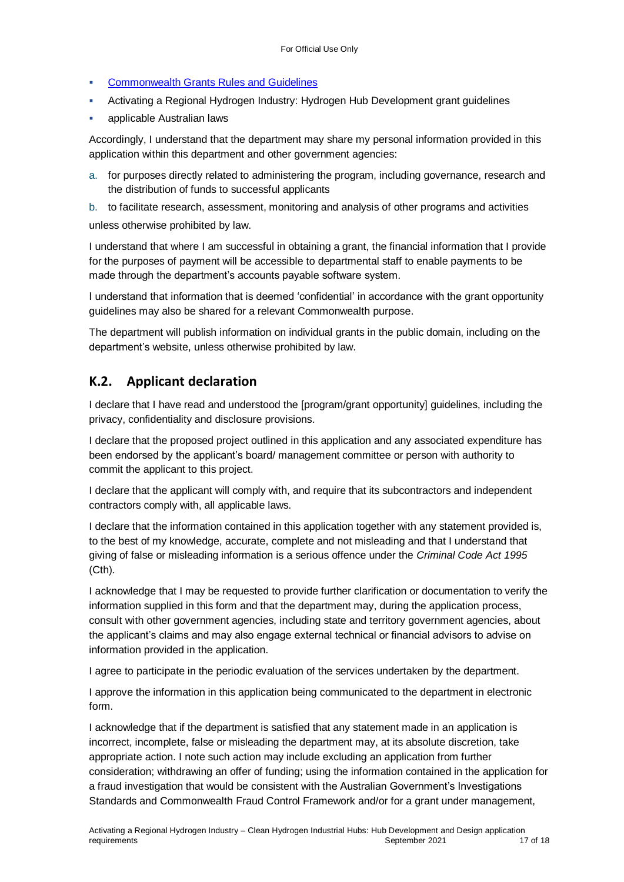- **[Commonwealth Grants Rules and Guidelines](https://www.finance.gov.au/government/commonwealth-grants/commonwealth-grants-rules-guidelines)**
- Activating a Regional Hydrogen Industry: Hydrogen Hub Development grant guidelines
- applicable Australian laws

Accordingly, I understand that the department may share my personal information provided in this application within this department and other government agencies:

a. for purposes directly related to administering the program, including governance, research and the distribution of funds to successful applicants

b. to facilitate research, assessment, monitoring and analysis of other programs and activities unless otherwise prohibited by law.

I understand that where I am successful in obtaining a grant, the financial information that I provide for the purposes of payment will be accessible to departmental staff to enable payments to be made through the department's accounts payable software system.

I understand that information that is deemed 'confidential' in accordance with the grant opportunity guidelines may also be shared for a relevant Commonwealth purpose.

The department will publish information on individual grants in the public domain, including on the department's website, unless otherwise prohibited by law.

### **K.2. Applicant declaration**

I declare that I have read and understood the [program/grant opportunity] guidelines, including the privacy, confidentiality and disclosure provisions.

I declare that the proposed project outlined in this application and any associated expenditure has been endorsed by the applicant's board/ management committee or person with authority to commit the applicant to this project.

I declare that the applicant will comply with, and require that its subcontractors and independent contractors comply with, all applicable laws.

I declare that the information contained in this application together with any statement provided is, to the best of my knowledge, accurate, complete and not misleading and that I understand that giving of false or misleading information is a serious offence under the *Criminal Code Act 1995*  (Cth)*.*

I acknowledge that I may be requested to provide further clarification or documentation to verify the information supplied in this form and that the department may, during the application process, consult with other government agencies, including state and territory government agencies, about the applicant's claims and may also engage external technical or financial advisors to advise on information provided in the application.

I agree to participate in the periodic evaluation of the services undertaken by the department.

I approve the information in this application being communicated to the department in electronic form.

I acknowledge that if the department is satisfied that any statement made in an application is incorrect, incomplete, false or misleading the department may, at its absolute discretion, take appropriate action. I note such action may include excluding an application from further consideration; withdrawing an offer of funding; using the information contained in the application for a fraud investigation that would be consistent with the Australian Government's Investigations Standards and Commonwealth Fraud Control Framework and/or for a grant under management,